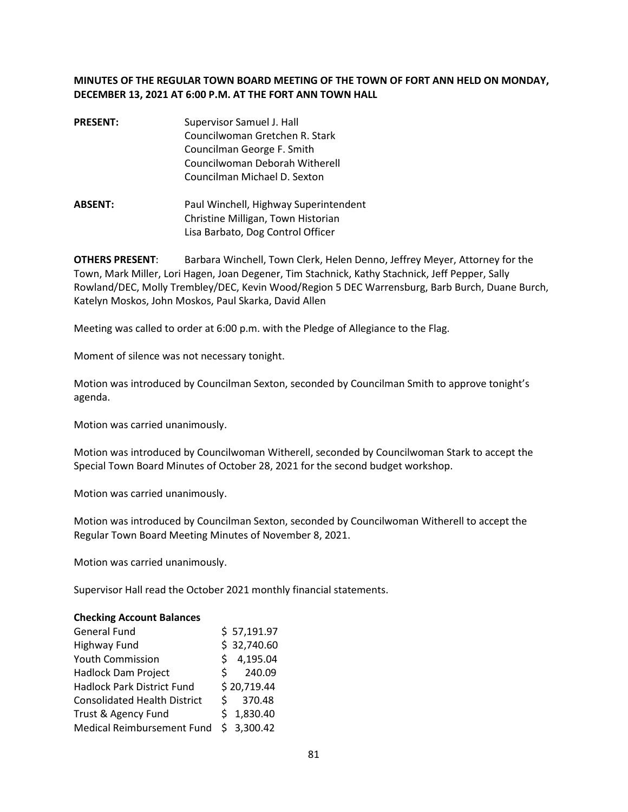# **MINUTES OF THE REGULAR TOWN BOARD MEETING OF THE TOWN OF FORT ANN HELD ON MONDAY, DECEMBER 13, 2021 AT 6:00 P.M. AT THE FORT ANN TOWN HALL**

- **PRESENT:** Supervisor Samuel J. Hall Councilwoman Gretchen R. Stark Councilman George F. Smith Councilwoman Deborah Witherell Councilman Michael D. Sexton
- **ABSENT:** Paul Winchell, Highway Superintendent Christine Milligan, Town Historian Lisa Barbato, Dog Control Officer

**OTHERS PRESENT**: Barbara Winchell, Town Clerk, Helen Denno, Jeffrey Meyer, Attorney for the Town, Mark Miller, Lori Hagen, Joan Degener, Tim Stachnick, Kathy Stachnick, Jeff Pepper, Sally Rowland/DEC, Molly Trembley/DEC, Kevin Wood/Region 5 DEC Warrensburg, Barb Burch, Duane Burch, Katelyn Moskos, John Moskos, Paul Skarka, David Allen

Meeting was called to order at 6:00 p.m. with the Pledge of Allegiance to the Flag.

Moment of silence was not necessary tonight.

Motion was introduced by Councilman Sexton, seconded by Councilman Smith to approve tonight's agenda.

Motion was carried unanimously.

Motion was introduced by Councilwoman Witherell, seconded by Councilwoman Stark to accept the Special Town Board Minutes of October 28, 2021 for the second budget workshop.

Motion was carried unanimously.

Motion was introduced by Councilman Sexton, seconded by Councilwoman Witherell to accept the Regular Town Board Meeting Minutes of November 8, 2021.

Motion was carried unanimously.

Supervisor Hall read the October 2021 monthly financial statements.

#### **Checking Account Balances**

| <b>General Fund</b>                 |    | \$57,191.97 |
|-------------------------------------|----|-------------|
| Highway Fund                        |    | \$32,740.60 |
| <b>Youth Commission</b>             |    | \$4,195.04  |
| Hadlock Dam Project                 | S. | 240.09      |
| <b>Hadlock Park District Fund</b>   |    | \$20,719.44 |
| <b>Consolidated Health District</b> |    | \$370.48    |
| Trust & Agency Fund                 |    | \$1,830.40  |
| Medical Reimbursement Fund          |    | \$3,300.42  |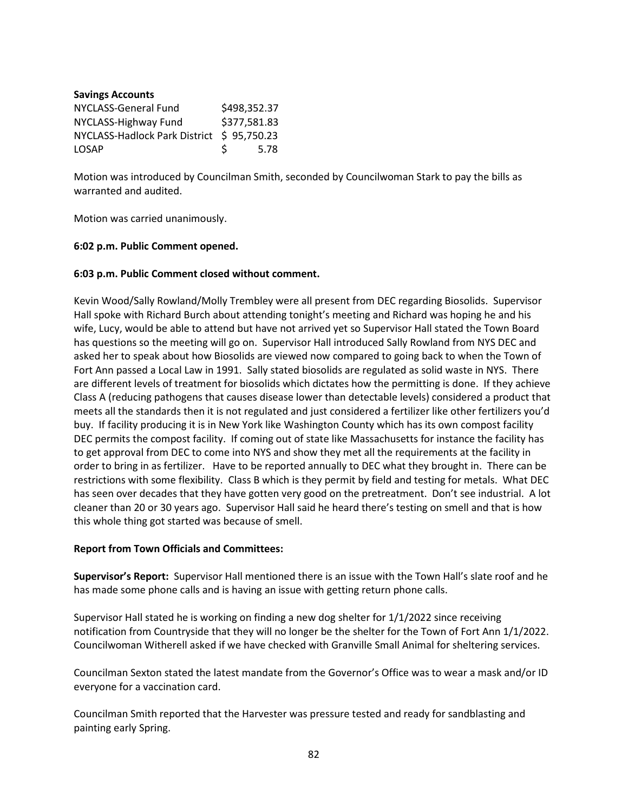| <b>Savings Accounts</b>                   |   |              |
|-------------------------------------------|---|--------------|
| NYCLASS-General Fund                      |   | \$498,352.37 |
| NYCLASS-Highway Fund                      |   | \$377,581.83 |
| NYCLASS-Hadlock Park District \$95,750.23 |   |              |
| <b>LOSAP</b>                              | S | 5.78         |

Motion was introduced by Councilman Smith, seconded by Councilwoman Stark to pay the bills as warranted and audited.

Motion was carried unanimously.

### **6:02 p.m. Public Comment opened.**

### **6:03 p.m. Public Comment closed without comment.**

Kevin Wood/Sally Rowland/Molly Trembley were all present from DEC regarding Biosolids. Supervisor Hall spoke with Richard Burch about attending tonight's meeting and Richard was hoping he and his wife, Lucy, would be able to attend but have not arrived yet so Supervisor Hall stated the Town Board has questions so the meeting will go on. Supervisor Hall introduced Sally Rowland from NYS DEC and asked her to speak about how Biosolids are viewed now compared to going back to when the Town of Fort Ann passed a Local Law in 1991. Sally stated biosolids are regulated as solid waste in NYS. There are different levels of treatment for biosolids which dictates how the permitting is done. If they achieve Class A (reducing pathogens that causes disease lower than detectable levels) considered a product that meets all the standards then it is not regulated and just considered a fertilizer like other fertilizers you'd buy. If facility producing it is in New York like Washington County which has its own compost facility DEC permits the compost facility. If coming out of state like Massachusetts for instance the facility has to get approval from DEC to come into NYS and show they met all the requirements at the facility in order to bring in as fertilizer. Have to be reported annually to DEC what they brought in. There can be restrictions with some flexibility. Class B which is they permit by field and testing for metals. What DEC has seen over decades that they have gotten very good on the pretreatment. Don't see industrial. A lot cleaner than 20 or 30 years ago. Supervisor Hall said he heard there's testing on smell and that is how this whole thing got started was because of smell.

#### **Report from Town Officials and Committees:**

**Supervisor's Report:** Supervisor Hall mentioned there is an issue with the Town Hall's slate roof and he has made some phone calls and is having an issue with getting return phone calls.

Supervisor Hall stated he is working on finding a new dog shelter for 1/1/2022 since receiving notification from Countryside that they will no longer be the shelter for the Town of Fort Ann 1/1/2022. Councilwoman Witherell asked if we have checked with Granville Small Animal for sheltering services.

Councilman Sexton stated the latest mandate from the Governor's Office was to wear a mask and/or ID everyone for a vaccination card.

Councilman Smith reported that the Harvester was pressure tested and ready for sandblasting and painting early Spring.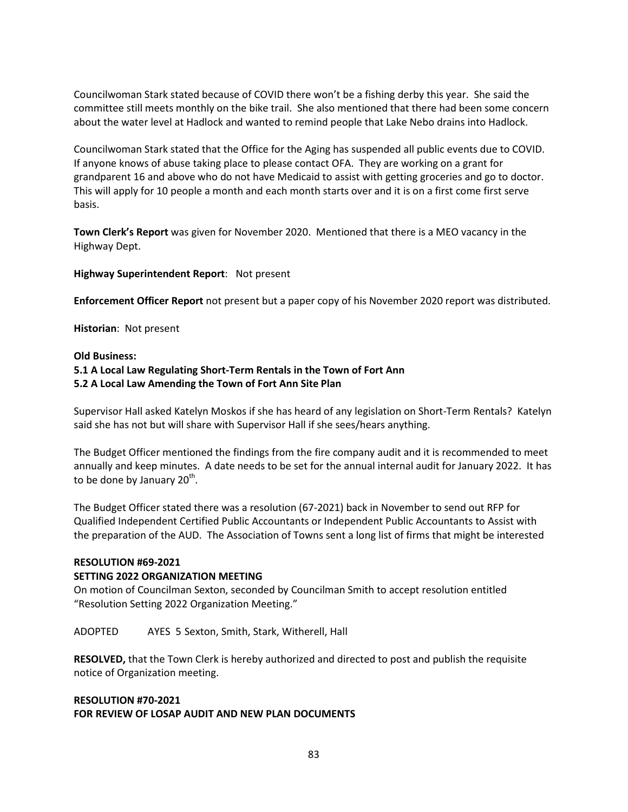Councilwoman Stark stated because of COVID there won't be a fishing derby this year. She said the committee still meets monthly on the bike trail. She also mentioned that there had been some concern about the water level at Hadlock and wanted to remind people that Lake Nebo drains into Hadlock.

Councilwoman Stark stated that the Office for the Aging has suspended all public events due to COVID. If anyone knows of abuse taking place to please contact OFA. They are working on a grant for grandparent 16 and above who do not have Medicaid to assist with getting groceries and go to doctor. This will apply for 10 people a month and each month starts over and it is on a first come first serve basis.

**Town Clerk's Report** was given for November 2020. Mentioned that there is a MEO vacancy in the Highway Dept.

### **Highway Superintendent Report**: Not present

**Enforcement Officer Report** not present but a paper copy of his November 2020 report was distributed.

**Historian**: Not present

#### **Old Business:**

# **5.1 A Local Law Regulating Short-Term Rentals in the Town of Fort Ann 5.2 A Local Law Amending the Town of Fort Ann Site Plan**

Supervisor Hall asked Katelyn Moskos if she has heard of any legislation on Short-Term Rentals? Katelyn said she has not but will share with Supervisor Hall if she sees/hears anything.

The Budget Officer mentioned the findings from the fire company audit and it is recommended to meet annually and keep minutes. A date needs to be set for the annual internal audit for January 2022. It has to be done by January 20<sup>th</sup>.

The Budget Officer stated there was a resolution (67-2021) back in November to send out RFP for Qualified Independent Certified Public Accountants or Independent Public Accountants to Assist with the preparation of the AUD. The Association of Towns sent a long list of firms that might be interested

#### **RESOLUTION #69-2021**

#### **SETTING 2022 ORGANIZATION MEETING**

On motion of Councilman Sexton, seconded by Councilman Smith to accept resolution entitled "Resolution Setting 2022 Organization Meeting."

ADOPTED AYES 5 Sexton, Smith, Stark, Witherell, Hall

**RESOLVED,** that the Town Clerk is hereby authorized and directed to post and publish the requisite notice of Organization meeting.

# **RESOLUTION #70-2021 FOR REVIEW OF LOSAP AUDIT AND NEW PLAN DOCUMENTS**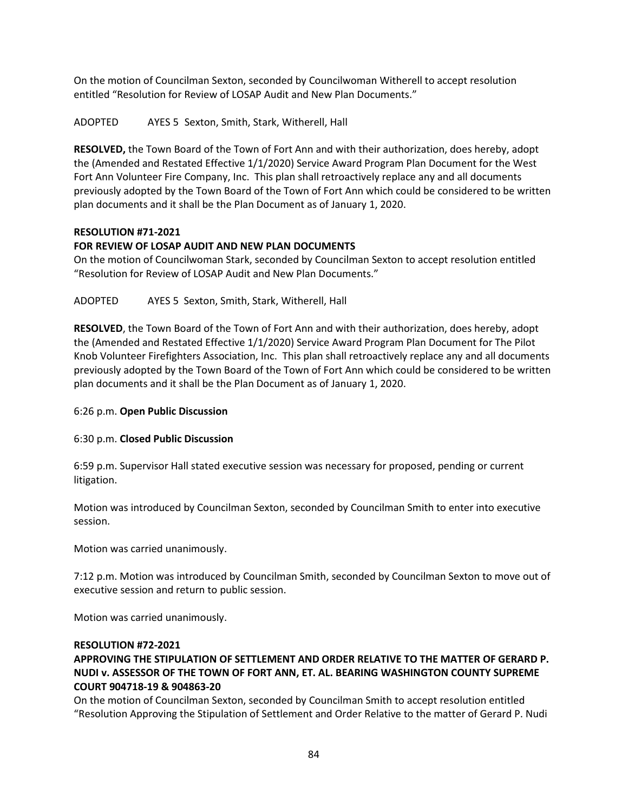On the motion of Councilman Sexton, seconded by Councilwoman Witherell to accept resolution entitled "Resolution for Review of LOSAP Audit and New Plan Documents."

ADOPTED AYES 5 Sexton, Smith, Stark, Witherell, Hall

**RESOLVED,** the Town Board of the Town of Fort Ann and with their authorization, does hereby, adopt the (Amended and Restated Effective 1/1/2020) Service Award Program Plan Document for the West Fort Ann Volunteer Fire Company, Inc. This plan shall retroactively replace any and all documents previously adopted by the Town Board of the Town of Fort Ann which could be considered to be written plan documents and it shall be the Plan Document as of January 1, 2020.

# **RESOLUTION #71-2021**

# **FOR REVIEW OF LOSAP AUDIT AND NEW PLAN DOCUMENTS**

On the motion of Councilwoman Stark, seconded by Councilman Sexton to accept resolution entitled "Resolution for Review of LOSAP Audit and New Plan Documents."

ADOPTED AYES 5 Sexton, Smith, Stark, Witherell, Hall

**RESOLVED**, the Town Board of the Town of Fort Ann and with their authorization, does hereby, adopt the (Amended and Restated Effective 1/1/2020) Service Award Program Plan Document for The Pilot Knob Volunteer Firefighters Association, Inc. This plan shall retroactively replace any and all documents previously adopted by the Town Board of the Town of Fort Ann which could be considered to be written plan documents and it shall be the Plan Document as of January 1, 2020.

6:26 p.m. **Open Public Discussion** 

### 6:30 p.m. **Closed Public Discussion**

6:59 p.m. Supervisor Hall stated executive session was necessary for proposed, pending or current litigation.

Motion was introduced by Councilman Sexton, seconded by Councilman Smith to enter into executive session.

Motion was carried unanimously.

7:12 p.m. Motion was introduced by Councilman Smith, seconded by Councilman Sexton to move out of executive session and return to public session.

Motion was carried unanimously.

### **RESOLUTION #72-2021**

# **APPROVING THE STIPULATION OF SETTLEMENT AND ORDER RELATIVE TO THE MATTER OF GERARD P. NUDI v. ASSESSOR OF THE TOWN OF FORT ANN, ET. AL. BEARING WASHINGTON COUNTY SUPREME COURT 904718-19 & 904863-20**

On the motion of Councilman Sexton, seconded by Councilman Smith to accept resolution entitled "Resolution Approving the Stipulation of Settlement and Order Relative to the matter of Gerard P. Nudi